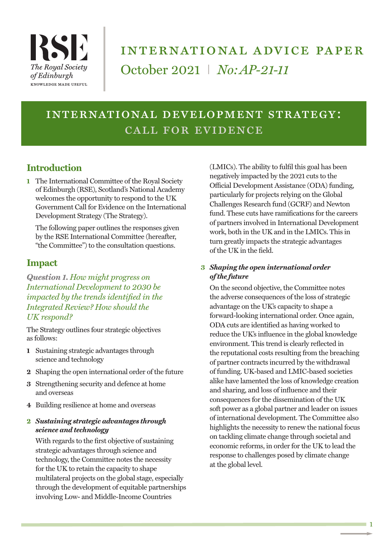

# international advice paper October 2021 I *No:AP-21-11*

## international development strategy: call for evidence

## **Introduction**

**1** The International Committee of the Royal Society of Edinburgh (RSE), Scotland's National Academy welcomes the opportunity to respond to the UK Government Call for Evidence on the International Development Strategy (The Strategy).

The following paper outlines the responses given by the RSE International Committee (hereafter, "the Committee") to the consultation questions.

### **Impact**

*Question 1. How might progress on International Development to 2030 be impacted by the trends identified in the Integrated Review? How should the UK respond?*

The Strategy outlines four strategic objectives as follows:

- **1** Sustaining strategic advantages through science and technology
- **2** Shaping the open international order of the future
- **3** Strengthening security and defence at home and overseas
- **4** Building resilience at home and overseas

#### **2** *Sustaining strategic advantages through science and technology*

With regards to the first objective of sustaining strategic advantages through science and technology, the Committee notes the necessity for the UK to retain the capacity to shape multilateral projects on the global stage, especially through the development of equitable partnerships involving Low- and Middle-Income Countries

(LMICs). The ability to fulfil this goal has been negatively impacted by the 2021 cuts to the Official Development Assistance (ODA) funding, particularly for projects relying on the Global Challenges Research fund (GCRF) and Newton fund. These cuts have ramifications for the careers of partners involved in International Development work, both in the UK and in the LMICs. This in turn greatly impacts the strategic advantages of the UK in the field.

#### **3** *Shaping the open international order of the future*

On the second objective, the Committee notes the adverse consequences of the loss of strategic advantage on the UK's capacity to shape a forward-looking international order. Once again, ODA cuts are identified as having worked to reduce the UK's influence in the global knowledge environment. This trend is clearly reflected in the reputational costs resulting from the breaching of partner contracts incurred by the withdrawal of funding. UK-based and LMIC-based societies alike have lamented the loss of knowledge creation and sharing, and loss of influence and their consequences for the dissemination of the UK soft power as a global partner and leader on issues of international development. The Committee also highlights the necessity to renew the national focus on tackling climate change through societal and economic reforms, in order for the UK to lead the response to challenges posed by climate change at the global level.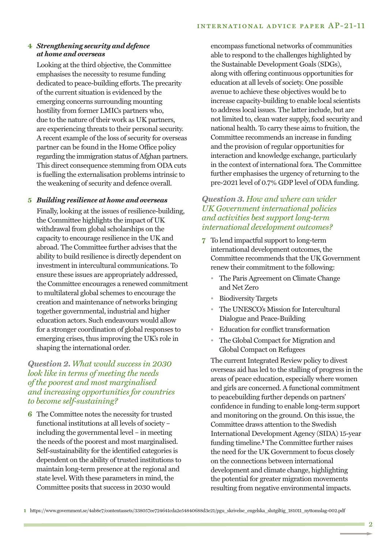#### **4** *Strengthening security and defence at home and overseas*

Looking at the third objective, the Committee emphasises the necessity to resume funding dedicated to peace-building efforts. The precarity of the current situation is evidenced by the emerging concerns surrounding mounting hostility from former LMICs partners who, due to the nature of their work as UK partners, are experiencing threats to their personal security. A recent example of the loss of security for overseas partner can be found in the Home Office policy regarding the immigration status of Afghan partners. This direct consequence stemming from ODA cuts is fuelling the externalisation problems intrinsic to the weakening of security and defence overall.

#### **5** *Building resilience at home and overseas*

Finally, looking at the issues of resilience-building, the Committee highlights the impact of UK withdrawal from global scholarships on the capacity to encourage resilience in the UK and abroad. The Committee further advises that the ability to build resilience is directly dependent on investment in intercultural communications. To ensure these issues are appropriately addressed, the Committee encourages a renewed commitment to multilateral global schemes to encourage the creation and maintenance of networks bringing together governmental, industrial and higher education actors. Such endeavours would allow for a stronger coordination of global responses to emerging crises, thus improving the UK's role in shaping the international order.

#### *Question 2. What would success in 2030 look like in terms of meeting the needs of the poorest and most marginalised and increasing opportunities for countries to become self-sustaining?*

**6** The Committee notes the necessity for trusted functional institutions at all levels of society – including the governmental level – in meeting the needs of the poorest and most marginalised. Self-sustainability for the identified categories is dependent on the ability of trusted institutions to maintain long-term presence at the regional and state level. With these parameters in mind, the Committee posits that success in 2030 would

encompass functional networks of communities able to respond to the challenges highlighted by the Sustainable Development Goals (SDGs), along with offering continuous opportunities for education at all levels of society. One possible avenue to achieve these objectives would be to increase capacity-building to enable local scientists to address local issues. The latter include, but are not limited to, clean water supply, food security and national health. To carry these aims to fruition, the Committee recommends an increase in funding and the provision of regular opportunities for interaction and knowledge exchange, particularly in the context of international fora. The Committee further emphasises the urgency of returning to the pre-2021 level of 0.7% GDP level of ODA funding.

#### *Question 3. How and where can wider UK Government international policies and activities best support long-term international development outcomes?*

- **7** To lend impactful support to long-term international development outcomes, the Committee recommends that the UK Government renew their commitment to the following:
	- The Paris Agreement on Climate Change and Net Zero
	- Biodiversity Targets
	- The UNESCO's Mission for Intercultural Dialogue and Peace-Building
	- Education for conflict transformation
	- The Global Compact for Migration and Global Compact on Refugees

The current Integrated Review policy to divest overseas aid has led to the stalling of progress in the areas of peace education, especially where women and girls are concerned. A functional commitment to peacebuilding further depends on partners' confidence in funding to enable long-term support and monitoring on the ground. On this issue, the Committee draws attention to the Swedish International Development Agency (SIDA) 15-year funding timeline.<sup>1</sup> The Committee further raises the need for the UK Government to focus closely on the connections between international development and climate change, highlighting the potential for greater migration movements resulting from negative environmental impacts.

**1** https://www.government.se/4ab8e7/contentassets/338057ee724641cda2e54840688d3e21/pgu\_skrivelse\_engelska\_slutgiltig\_181011\_nyttomslag-002.pdf

 $\overline{2}$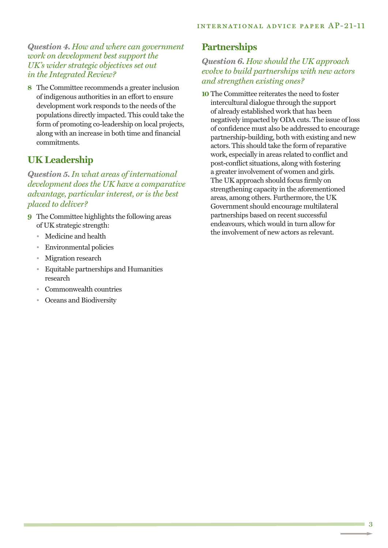*Question 4. How and where can government work on development best support the UK's wider strategic objectives set out in the Integrated Review?*

**8** The Committee recommends a greater inclusion of indigenous authorities in an effort to ensure development work responds to the needs of the populations directly impacted. This could take the form of promoting co-leadership on local projects, along with an increase in both time and financial commitments.

## **UK Leadership**

*Question 5.In what areas of international development does the UK have a comparative advantage, particular interest, or is the best placed to deliver?*

- **9** The Committee highlights the following areas of UK strategic strength:
	- Medicine and health
	- Environmental policies
	- Migration research
	- Equitable partnerships and Humanities research
	- Commonwealth countries
	- Oceans and Biodiversity

## **Partnerships**

#### *Question 6. How should the UK approach evolve to build partnerships with new actors and strengthen existing ones?*

**10** The Committee reiterates the need to foster intercultural dialogue through the support of already established work that has been negatively impacted by ODA cuts. The issue of loss of confidence must also be addressed to encourage partnership-building, both with existing and new actors. This should take the form of reparative work, especially in areas related to conflict and post-conflict situations, along with fostering a greater involvement of women and girls. The UK approach should focus firmly on strengthening capacity in the aforementioned areas, among others. Furthermore, the UK Government should encourage multilateral partnerships based on recent successful endeavours, which would in turn allow for the involvement of new actors as relevant.